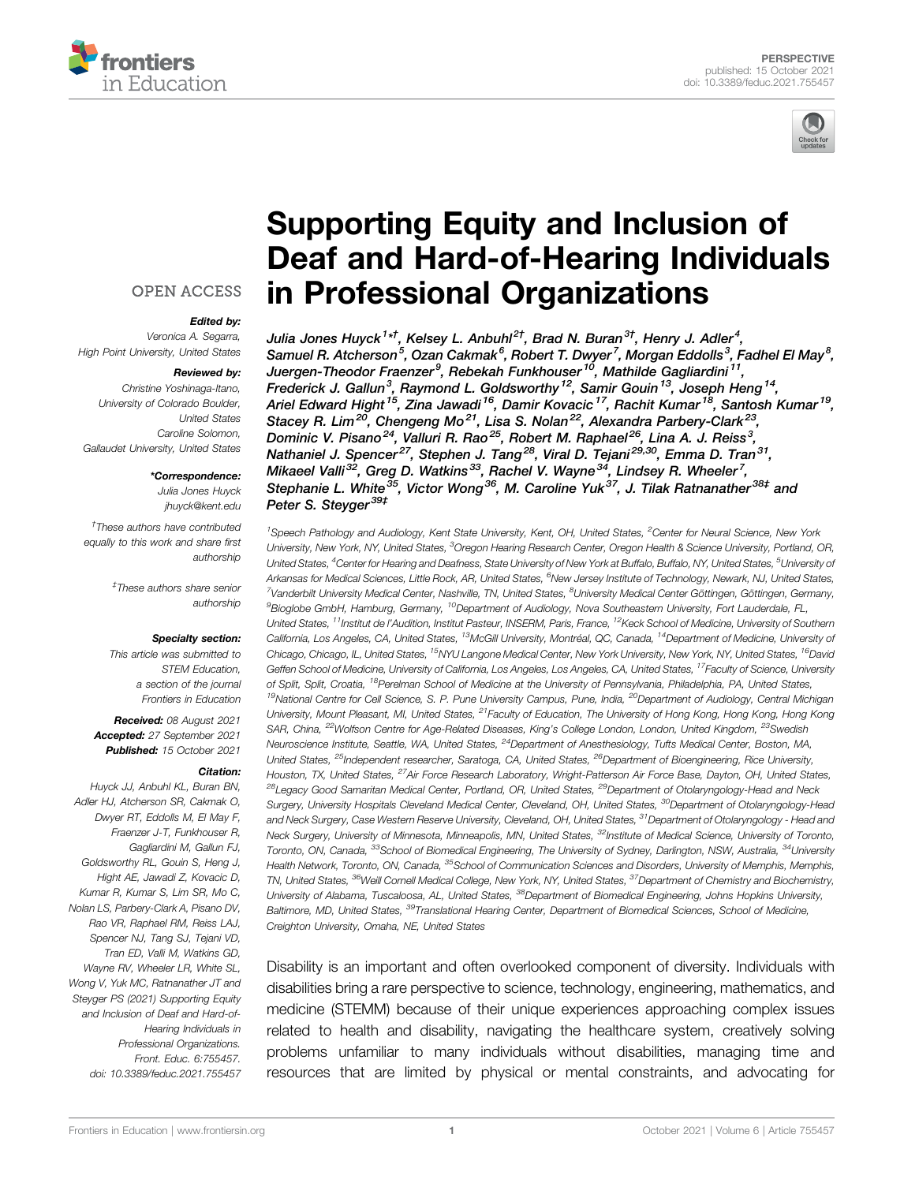



# [Supporting Equity and Inclusion of](https://www.frontiersin.org/articles/10.3389/feduc.2021.755457/full) [Deaf and Hard-of-Hearing Individuals](https://www.frontiersin.org/articles/10.3389/feduc.2021.755457/full) [in Professional Organizations](https://www.frontiersin.org/articles/10.3389/feduc.2021.755457/full)

Julia Jones Huyck $^{\mathsf{1}\star\mathsf{1}}$ , Kelsey L. Anbuhl $^{\mathsf{2}\mathsf{1}}$ , Brad N. Buran $^{\mathsf{3}\mathsf{1}}$ , Henry J. Adler $^{\mathsf{4}}$ , Samuel R. Atcherson $^5$ , Ozan Cakmak $^6$ , Robert T. Dwyer $^7$ , Morgan Eddolls $^3$ , Fadhel El May $^8$ , Juergen-Theodor Fraenzer<sup>9</sup>, Rebekah Funkhouser<sup>10</sup>, Mathilde Gagliardini<sup>11</sup>, Frederick J. Gallun<sup>3</sup>, Raymond L. Goldsworthy <sup>12</sup>, Samir Gouin <sup>13</sup>, Joseph Heng <sup>14</sup>, Ariel Edward Hight<sup>15</sup>, Zina Jawadi<sup>16</sup>, Damir Kovacic<sup>17</sup>, Rachit Kumar<sup>18</sup>, Santosh Kumar<sup>19</sup>, Stacey R. Lim<sup>20</sup>, Chengeng Mo<sup>21</sup>, Lisa S. Nolan<sup>22</sup>, Alexandra Parbery-Clark<sup>23</sup> Dominic V. Pisano<sup>24</sup>, Valluri R. Rao<sup>25</sup>, Robert M. Raphael<sup>26</sup>, Lina A. J. Reiss<sup>3</sup>, Nathaniel J. Spencer<sup>27</sup>, Stephen J. Tang<sup>28</sup>, Viral D. Tejani<sup>29,30</sup>, Emma D. Tran<sup>31</sup>, Mikaeel Valli $^{32}$ , Greg D. Watkins $^{33}$ , Rachel V. Wayne $^{34}$ , Lindsey R. Wheeler<sup>7</sup>, Stephanie L. White<sup>35</sup>, Victor Wong<sup>36</sup>, M. Caroline Yuk<sup>37</sup>, J. Tilak Ratnanather<sup>38‡</sup> and Peter S. Steyger<sup>39‡</sup>

<sup>1</sup>Speech Pathology and Audiology, Kent State University, Kent, OH, United States, <sup>2</sup>Center for Neural Science, New York University, New York, NY, United States, <sup>3</sup>Oregon Hearing Research Center, Oregon Health & Science University, Portland, OR, United States, <sup>4</sup>Center for Hearing and Deafness, State University of New York at Buffalo, Buffalo, NY, United States, <sup>5</sup>University o*f* Arkansas for Medical Sciences, Little Rock, AR, United States, <sup>6</sup>New Jersey Institute of Technology, Newark, NJ, United States, <sup>7</sup>Vanderbilt University Medical Center, Nashville, TN, United States, <sup>8</sup>University Medical Center Göttingen, Göttingen, Germany, <sup>9</sup>Bioglobe GmbH, Hamburg, Germany, <sup>10</sup>Department of Audiology, Nova Southeastern University, Fort Lauderdale, FL, United States, <sup>11</sup>Institut de l'Audition, Institut Pasteur, INSERM, Paris, France, <sup>12</sup>Keck School of Medicine, University of Southern California, Los Angeles, CA, United States, <sup>13</sup>McGill University, Montréal, QC, Canada, <sup>14</sup>Department of Medicine, University of Chicago, Chicago, IL, United States, <sup>15</sup>NYU Langone Medical Center, New York University, New York, NY, United States, <sup>16</sup>David Geffen School of Medicine, University of California, Los Angeles, Los Angeles, CA, United States, <sup>17</sup>Faculty of Science, University of Split, Split, Croatia, <sup>18</sup>Perelman School of Medicine at the University of Pennsylvania, Philadelphia, PA, United States, <sup>19</sup>National Centre for Cell Science, S. P. Pune University Campus, Pune, India, <sup>20</sup>Department of Audiology, Central Michigan University, Mount Pleasant, MI, United States, <sup>21</sup>Faculty of Education, The University of Hong Kong, Hong Kong, Hong Kong SAR, China, <sup>22</sup>Wolfson Centre for Age-Related Diseases, King's College London, London, United Kingdom, <sup>23</sup>Swedish Neuroscience Institute, Seattle, WA, United States, <sup>24</sup>Department of Anesthesiology, Tufts Medical Center, Boston, MA, United States, <sup>25</sup>Independent researcher, Saratoga, CA, United States, <sup>26</sup>Department of Bioengineering, Rice University, Houston, TX, United States, <sup>27</sup>Air Force Research Laboratory, Wright-Patterson Air Force Base, Dayton, OH, United States, <sup>28</sup>Legacy Good Samaritan Medical Center, Portland, OR, United States, <sup>29</sup>Department of Otolaryngology-Head and Neck Surgery, University Hospitals Cleveland Medical Center, Cleveland, OH, United States, <sup>30</sup>Department of Otolaryngology-Head and Neck Surgery, Case Western Reserve University, Cleveland, OH, United States, <sup>31</sup>Department of Otolaryngology - Head and Neck Surgery, University of Minnesota, Minneapolis, MN, United States, <sup>32</sup>Institute of Medical Science, University of Toronto, Toronto, ON, Canada, <sup>33</sup>School of Biomedical Engineering, The University of Sydney, Darlington, NSW, Australia, <sup>34</sup>University Health Network, Toronto, ON, Canada, <sup>35</sup>School of Communication Sciences and Disorders, University of Memphis, Memphis, TN, United States, <sup>36</sup>Weill Cornell Medical College, New York, NY, United States, <sup>37</sup>Department of Chemistry and Biochemistry, University of Alabama, Tuscaloosa, AL, United States, <sup>38</sup>Department of Biomedical Engineering, Johns Hopkins University, Baltimore, MD, United States, <sup>39</sup>Translational Hearing Center, Department of Biomedical Sciences, School of Medicine, Creighton University, Omaha, NE, United States

Disability is an important and often overlooked component of diversity. Individuals with disabilities bring a rare perspective to science, technology, engineering, mathematics, and medicine (STEMM) because of their unique experiences approaching complex issues related to health and disability, navigating the healthcare system, creatively solving problems unfamiliar to many individuals without disabilities, managing time and resources that are limited by physical or mental constraints, and advocating for

#### **OPEN ACCESS**

#### Edited by:

Veronica A. Segarra, High Point University, United States

#### Reviewed by:

Christine Yoshinaga-Itano, University of Colorado Boulder, United States Caroline Solomon, Gallaudet University, United States

#### \*Correspondence:

Julia Jones Huyck [jhuyck@kent.edu](mailto:jhuyck@kent.edu)

† These authors have contributed equally to this work and share first authorship

> ‡ These authors share senior authorship

#### Specialty section:

This article was submitted to STEM Education, a section of the journal Frontiers in Education

Received: 08 August 2021 Accepted: 27 September 2021 Published: 15 October 2021

#### Citation:

Huyck JJ, Anbuhl KL, Buran BN, Adler HJ, Atcherson SR, Cakmak O, Dwyer RT, Eddolls M, El May F, Fraenzer J-T, Funkhouser R, Gagliardini M, Gallun FJ, Goldsworthy RL, Gouin S, Heng J, Hight AE, Jawadi Z, Kovacic D, Kumar R, Kumar S, Lim SR, Mo C, Nolan LS, Parbery-Clark A, Pisano DV, Rao VR, Raphael RM, Reiss LAJ, Spencer NJ, Tang SJ, Tejani VD, Tran ED, Valli M, Watkins GD, Wayne RV, Wheeler LR, White SL, Wong V, Yuk MC, Ratnanather JT and Steyger PS (2021) Supporting Equity and Inclusion of Deaf and Hard-of-Hearing Individuals in Professional Organizations. Front. Educ. 6:755457. doi: [10.3389/feduc.2021.755457](https://doi.org/10.3389/feduc.2021.755457)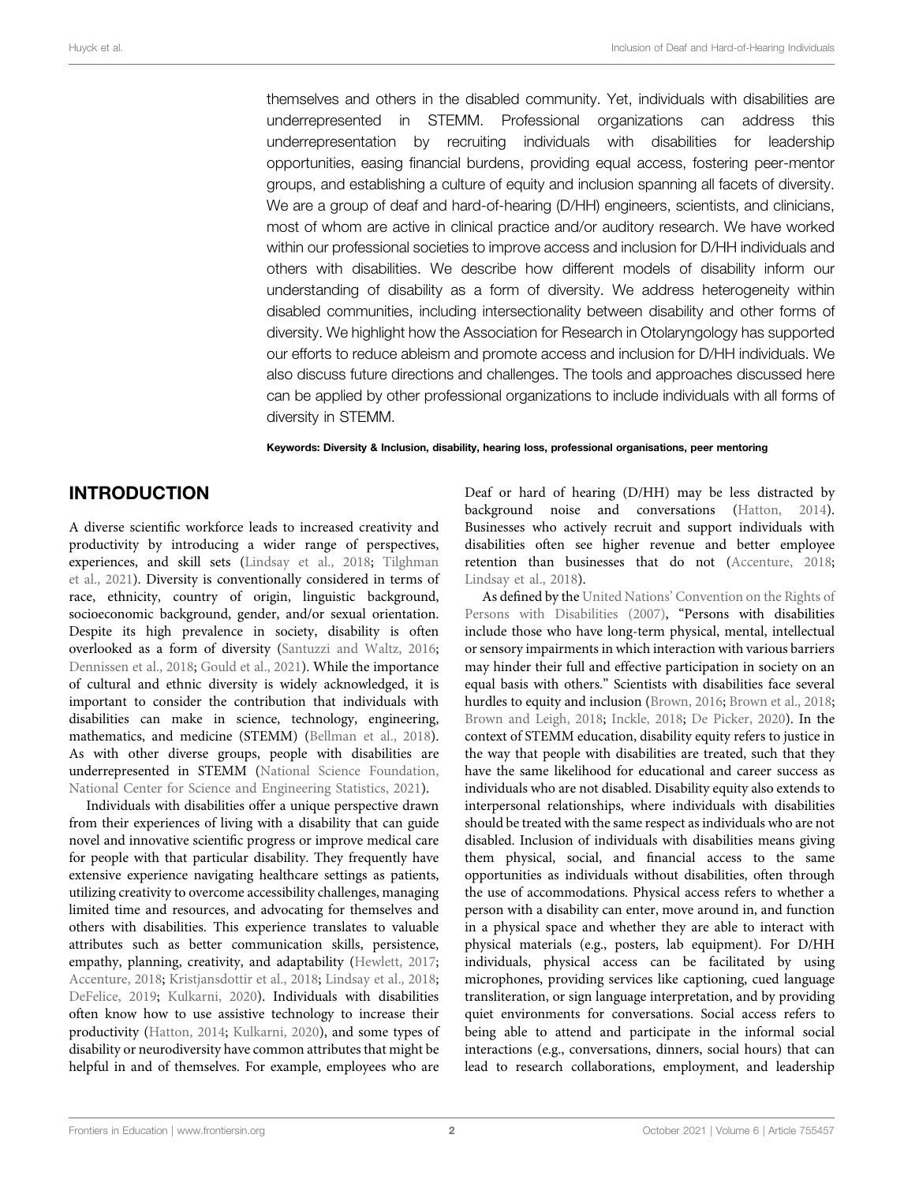themselves and others in the disabled community. Yet, individuals with disabilities are underrepresented in STEMM. Professional organizations can address this underrepresentation by recruiting individuals with disabilities for leadership opportunities, easing financial burdens, providing equal access, fostering peer-mentor groups, and establishing a culture of equity and inclusion spanning all facets of diversity. We are a group of deaf and hard-of-hearing (D/HH) engineers, scientists, and clinicians, most of whom are active in clinical practice and/or auditory research. We have worked within our professional societies to improve access and inclusion for D/HH individuals and others with disabilities. We describe how different models of disability inform our understanding of disability as a form of diversity. We address heterogeneity within disabled communities, including intersectionality between disability and other forms of diversity. We highlight how the Association for Research in Otolaryngology has supported our efforts to reduce ableism and promote access and inclusion for D/HH individuals. We also discuss future directions and challenges. The tools and approaches discussed here can be applied by other professional organizations to include individuals with all forms of diversity in STEMM.

Keywords: Diversity & Inclusion, disability, hearing loss, professional organisations, peer mentoring

# INTRODUCTION

A diverse scientific workforce leads to increased creativity and productivity by introducing a wider range of perspectives, experiences, and skill sets [\(Lindsay et al., 2018](#page-8-0); [Tilghman](#page-9-0) [et al., 2021\)](#page-9-0). Diversity is conventionally considered in terms of race, ethnicity, country of origin, linguistic background, socioeconomic background, gender, and/or sexual orientation. Despite its high prevalence in society, disability is often overlooked as a form of diversity ([Santuzzi and Waltz, 2016](#page-9-1); [Dennissen et al., 2018;](#page-8-1) [Gould et al., 2021\)](#page-8-2). While the importance of cultural and ethnic diversity is widely acknowledged, it is important to consider the contribution that individuals with disabilities can make in science, technology, engineering, mathematics, and medicine (STEMM) ([Bellman et al., 2018\)](#page-8-3). As with other diverse groups, people with disabilities are underrepresented in STEMM [\(National Science Foundation,](#page-8-4) [National Center for Science and Engineering Statistics, 2021](#page-8-4)).

Individuals with disabilities offer a unique perspective drawn from their experiences of living with a disability that can guide novel and innovative scientific progress or improve medical care for people with that particular disability. They frequently have extensive experience navigating healthcare settings as patients, utilizing creativity to overcome accessibility challenges, managing limited time and resources, and advocating for themselves and others with disabilities. This experience translates to valuable attributes such as better communication skills, persistence, empathy, planning, creativity, and adaptability ([Hewlett, 2017](#page-8-5); [Accenture, 2018;](#page-8-6) [Kristjansdottir et al., 2018;](#page-8-7) [Lindsay et al., 2018](#page-8-0); [DeFelice, 2019](#page-8-8); [Kulkarni, 2020](#page-8-9)). Individuals with disabilities often know how to use assistive technology to increase their productivity ([Hatton, 2014](#page-8-10); [Kulkarni, 2020](#page-8-9)), and some types of disability or neurodiversity have common attributes that might be helpful in and of themselves. For example, employees who are

Deaf or hard of hearing (D/HH) may be less distracted by background noise and conversations ([Hatton, 2014\)](#page-8-10). Businesses who actively recruit and support individuals with disabilities often see higher revenue and better employee retention than businesses that do not ([Accenture, 2018;](#page-8-6) [Lindsay et al., 2018\)](#page-8-0).

As defined by the United Nations' [Convention on the Rights of](#page-9-2) [Persons with Disabilities \(2007\)](#page-9-2), "Persons with disabilities include those who have long-term physical, mental, intellectual or sensory impairments in which interaction with various barriers may hinder their full and effective participation in society on an equal basis with others." Scientists with disabilities face several hurdles to equity and inclusion [\(Brown, 2016](#page-8-11); [Brown et al., 2018;](#page-8-12) [Brown and Leigh, 2018](#page-8-13); [Inckle, 2018;](#page-8-14) [De Picker, 2020](#page-8-15)). In the context of STEMM education, disability equity refers to justice in the way that people with disabilities are treated, such that they have the same likelihood for educational and career success as individuals who are not disabled. Disability equity also extends to interpersonal relationships, where individuals with disabilities should be treated with the same respect as individuals who are not disabled. Inclusion of individuals with disabilities means giving them physical, social, and financial access to the same opportunities as individuals without disabilities, often through the use of accommodations. Physical access refers to whether a person with a disability can enter, move around in, and function in a physical space and whether they are able to interact with physical materials (e.g., posters, lab equipment). For D/HH individuals, physical access can be facilitated by using microphones, providing services like captioning, cued language transliteration, or sign language interpretation, and by providing quiet environments for conversations. Social access refers to being able to attend and participate in the informal social interactions (e.g., conversations, dinners, social hours) that can lead to research collaborations, employment, and leadership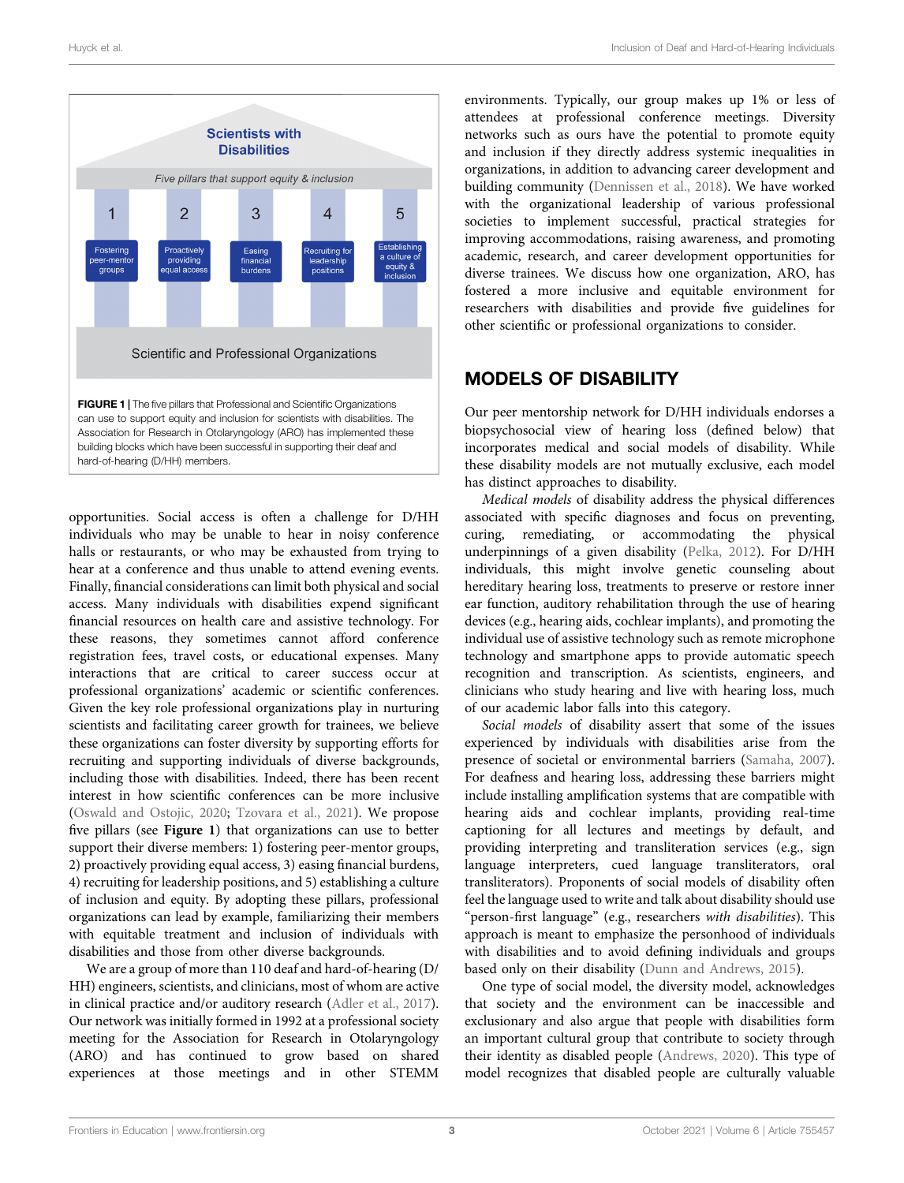

<span id="page-2-0"></span>opportunities. Social access is often a challenge for D/HH individuals who may be unable to hear in noisy conference halls or restaurants, or who may be exhausted from trying to hear at a conference and thus unable to attend evening events. Finally, financial considerations can limit both physical and social access. Many individuals with disabilities expend significant financial resources on health care and assistive technology. For these reasons, they sometimes cannot afford conference registration fees, travel costs, or educational expenses. Many interactions that are critical to career success occur at professional organizations' academic or scientific conferences. Given the key role professional organizations play in nurturing scientists and facilitating career growth for trainees, we believe these organizations can foster diversity by supporting efforts for recruiting and supporting individuals of diverse backgrounds, including those with disabilities. Indeed, there has been recent interest in how scientific conferences can be more inclusive ([Oswald and Ostojic, 2020](#page-9-3); [Tzovara et al., 2021\)](#page-9-4). We propose five pillars (see [Figure 1](#page-2-0)) that organizations can use to better support their diverse members: 1) fostering peer-mentor groups, 2) proactively providing equal access, 3) easing financial burdens, 4) recruiting for leadership positions, and 5) establishing a culture of inclusion and equity. By adopting these pillars, professional organizations can lead by example, familiarizing their members with equitable treatment and inclusion of individuals with disabilities and those from other diverse backgrounds.

We are a group of more than 110 deaf and hard-of-hearing (D/ HH) engineers, scientists, and clinicians, most of whom are active in clinical practice and/or auditory research [\(Adler et al., 2017\)](#page-8-16). Our network was initially formed in 1992 at a professional society meeting for the Association for Research in Otolaryngology (ARO) and has continued to grow based on shared experiences at those meetings and in other STEMM environments. Typically, our group makes up 1% or less of attendees at professional conference meetings. Diversity networks such as ours have the potential to promote equity and inclusion if they directly address systemic inequalities in organizations, in addition to advancing career development and building community [\(Dennissen et al., 2018](#page-8-1)). We have worked with the organizational leadership of various professional societies to implement successful, practical strategies for improving accommodations, raising awareness, and promoting academic, research, and career development opportunities for diverse trainees. We discuss how one organization, ARO, has fostered a more inclusive and equitable environment for researchers with disabilities and provide five guidelines for other scientific or professional organizations to consider.

### MODELS OF DISABILITY

Our peer mentorship network for D/HH individuals endorses a biopsychosocial view of hearing loss (defined below) that incorporates medical and social models of disability. While these disability models are not mutually exclusive, each model has distinct approaches to disability.

Medical models of disability address the physical differences associated with specific diagnoses and focus on preventing, curing, remediating, or accommodating the physical underpinnings of a given disability [\(Pelka, 2012](#page-9-5)). For D/HH individuals, this might involve genetic counseling about hereditary hearing loss, treatments to preserve or restore inner ear function, auditory rehabilitation through the use of hearing devices (e.g., hearing aids, cochlear implants), and promoting the individual use of assistive technology such as remote microphone technology and smartphone apps to provide automatic speech recognition and transcription. As scientists, engineers, and clinicians who study hearing and live with hearing loss, much of our academic labor falls into this category.

Social models of disability assert that some of the issues experienced by individuals with disabilities arise from the presence of societal or environmental barriers [\(Samaha, 2007\)](#page-9-6). For deafness and hearing loss, addressing these barriers might include installing amplification systems that are compatible with hearing aids and cochlear implants, providing real-time captioning for all lectures and meetings by default, and providing interpreting and transliteration services (e.g., sign language interpreters, cued language transliterators, oral transliterators). Proponents of social models of disability often feel the language used to write and talk about disability should use "person-first language" (e.g., researchers with disabilities). This approach is meant to emphasize the personhood of individuals with disabilities and to avoid defining individuals and groups based only on their disability ([Dunn and Andrews, 2015](#page-8-17)).

One type of social model, the diversity model, acknowledges that society and the environment can be inaccessible and exclusionary and also argue that people with disabilities form an important cultural group that contribute to society through their identity as disabled people ([Andrews, 2020](#page-8-18)). This type of model recognizes that disabled people are culturally valuable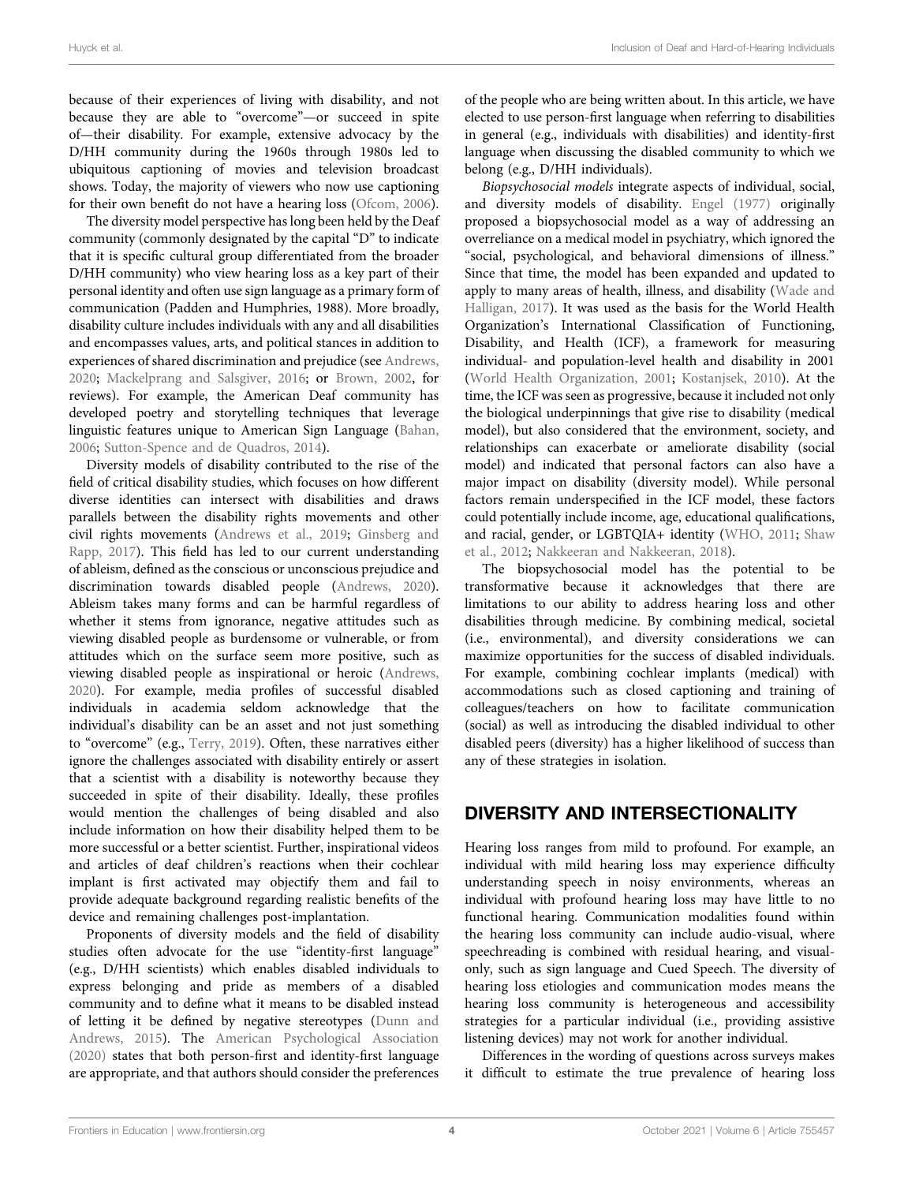because of their experiences of living with disability, and not because they are able to "overcome"—or succeed in spite of—their disability. For example, extensive advocacy by the D/HH community during the 1960s through 1980s led to ubiquitous captioning of movies and television broadcast shows. Today, the majority of viewers who now use captioning for their own benefit do not have a hearing loss ([Ofcom, 2006\)](#page-8-19).

The diversity model perspective has long been held by the Deaf community (commonly designated by the capital "D" to indicate that it is specific cultural group differentiated from the broader D/HH community) who view hearing loss as a key part of their personal identity and often use sign language as a primary form of communication (Padden and Humphries, 1988). More broadly, disability culture includes individuals with any and all disabilities and encompasses values, arts, and political stances in addition to experiences of shared discrimination and prejudice (see [Andrews,](#page-8-18) [2020](#page-8-18); [Mackelprang and Salsgiver, 2016](#page-8-20); or [Brown, 2002](#page-8-21), for reviews). For example, the American Deaf community has developed poetry and storytelling techniques that leverage linguistic features unique to American Sign Language [\(Bahan,](#page-8-22) [2006](#page-8-22); [Sutton-Spence and de Quadros, 2014\)](#page-9-7).

Diversity models of disability contributed to the rise of the field of critical disability studies, which focuses on how different diverse identities can intersect with disabilities and draws parallels between the disability rights movements and other civil rights movements [\(Andrews et al., 2019;](#page-8-23) [Ginsberg and](#page-8-24) [Rapp, 2017\)](#page-8-24). This field has led to our current understanding of ableism, defined as the conscious or unconscious prejudice and discrimination towards disabled people ([Andrews, 2020\)](#page-8-18). Ableism takes many forms and can be harmful regardless of whether it stems from ignorance, negative attitudes such as viewing disabled people as burdensome or vulnerable, or from attitudes which on the surface seem more positive, such as viewing disabled people as inspirational or heroic [\(Andrews,](#page-8-18) [2020](#page-8-18)). For example, media profiles of successful disabled individuals in academia seldom acknowledge that the individual's disability can be an asset and not just something to "overcome" (e.g., [Terry, 2019\)](#page-9-8). Often, these narratives either ignore the challenges associated with disability entirely or assert that a scientist with a disability is noteworthy because they succeeded in spite of their disability. Ideally, these profiles would mention the challenges of being disabled and also include information on how their disability helped them to be more successful or a better scientist. Further, inspirational videos and articles of deaf children's reactions when their cochlear implant is first activated may objectify them and fail to provide adequate background regarding realistic benefits of the device and remaining challenges post-implantation.

Proponents of diversity models and the field of disability studies often advocate for the use "identity-first language" (e.g., D/HH scientists) which enables disabled individuals to express belonging and pride as members of a disabled community and to define what it means to be disabled instead of letting it be defined by negative stereotypes [\(Dunn and](#page-8-17) [Andrews, 2015\)](#page-8-17). The [American Psychological Association](#page-8-25) [\(2020\)](#page-8-25) states that both person-first and identity-first language are appropriate, and that authors should consider the preferences

of the people who are being written about. In this article, we have elected to use person-first language when referring to disabilities in general (e.g., individuals with disabilities) and identity-first language when discussing the disabled community to which we belong (e.g., D/HH individuals).

Biopsychosocial models integrate aspects of individual, social, and diversity models of disability. [Engel \(1977\)](#page-8-26) originally proposed a biopsychosocial model as a way of addressing an overreliance on a medical model in psychiatry, which ignored the "social, psychological, and behavioral dimensions of illness." Since that time, the model has been expanded and updated to apply to many areas of health, illness, and disability ([Wade and](#page-9-9) [Halligan, 2017\)](#page-9-9). It was used as the basis for the World Health Organization's International Classification of Functioning, Disability, and Health (ICF), a framework for measuring individual- and population-level health and disability in 2001 [\(World Health Organization, 2001;](#page-9-10) [Kostanjsek, 2010\)](#page-8-27). At the time, the ICF was seen as progressive, because it included not only the biological underpinnings that give rise to disability (medical model), but also considered that the environment, society, and relationships can exacerbate or ameliorate disability (social model) and indicated that personal factors can also have a major impact on disability (diversity model). While personal factors remain underspecified in the ICF model, these factors could potentially include income, age, educational qualifications, and racial, gender, or LGBTQIA+ identity [\(WHO, 2011](#page-9-11); [Shaw](#page-9-12) [et al., 2012](#page-9-12); [Nakkeeran and Nakkeeran, 2018](#page-8-28)).

The biopsychosocial model has the potential to be transformative because it acknowledges that there are limitations to our ability to address hearing loss and other disabilities through medicine. By combining medical, societal (i.e., environmental), and diversity considerations we can maximize opportunities for the success of disabled individuals. For example, combining cochlear implants (medical) with accommodations such as closed captioning and training of colleagues/teachers on how to facilitate communication (social) as well as introducing the disabled individual to other disabled peers (diversity) has a higher likelihood of success than any of these strategies in isolation.

#### DIVERSITY AND INTERSECTIONALITY

Hearing loss ranges from mild to profound. For example, an individual with mild hearing loss may experience difficulty understanding speech in noisy environments, whereas an individual with profound hearing loss may have little to no functional hearing. Communication modalities found within the hearing loss community can include audio-visual, where speechreading is combined with residual hearing, and visualonly, such as sign language and Cued Speech. The diversity of hearing loss etiologies and communication modes means the hearing loss community is heterogeneous and accessibility strategies for a particular individual (i.e., providing assistive listening devices) may not work for another individual.

Differences in the wording of questions across surveys makes it difficult to estimate the true prevalence of hearing loss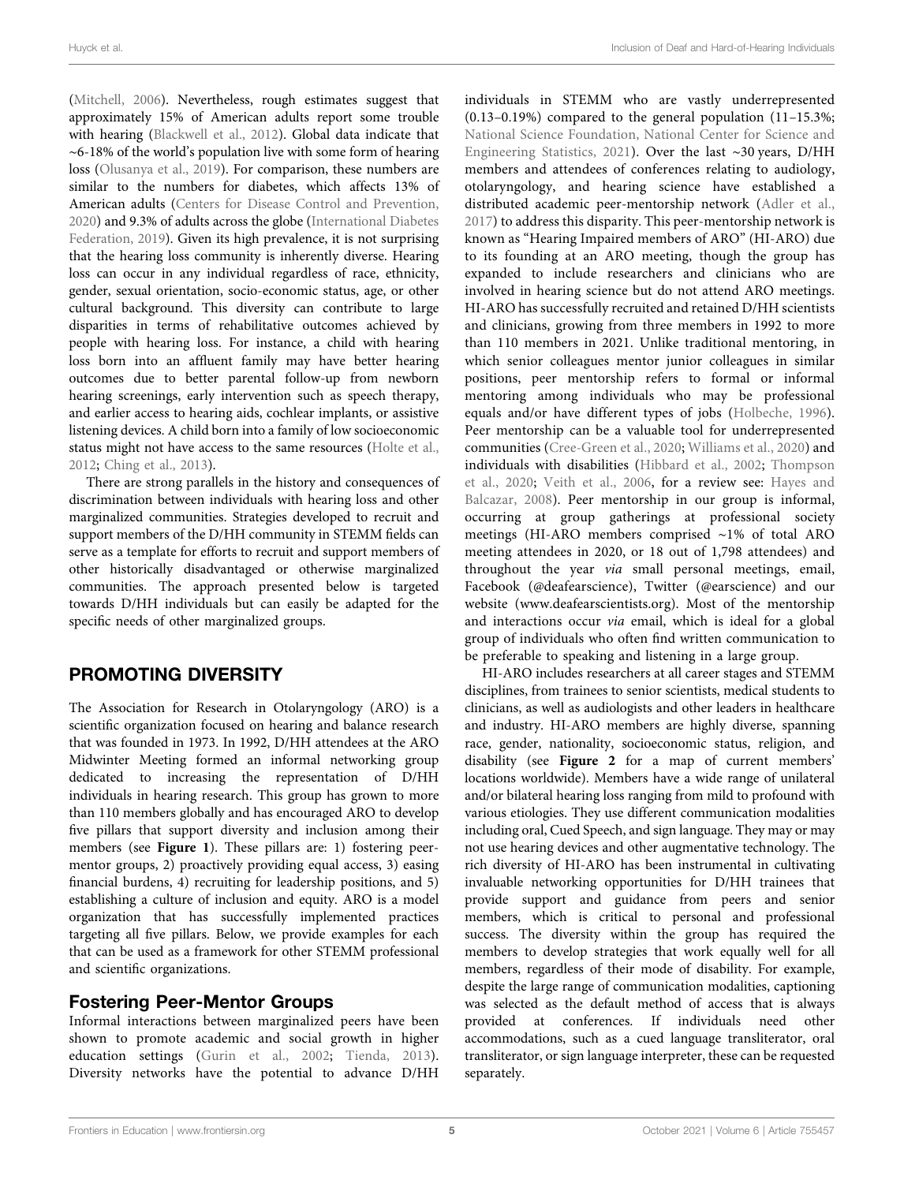([Mitchell, 2006\)](#page-8-29). Nevertheless, rough estimates suggest that approximately 15% of American adults report some trouble with hearing [\(Blackwell et al., 2012](#page-8-30)). Global data indicate that ∼6-18% of the world's population live with some form of hearing loss ([Olusanya et al., 2019](#page-9-13)). For comparison, these numbers are similar to the numbers for diabetes, which affects 13% of American adults ([Centers for Disease Control and Prevention,](#page-8-31) [2020](#page-8-31)) and 9.3% of adults across the globe [\(International Diabetes](#page-8-32) [Federation, 2019\)](#page-8-32). Given its high prevalence, it is not surprising that the hearing loss community is inherently diverse. Hearing loss can occur in any individual regardless of race, ethnicity, gender, sexual orientation, socio-economic status, age, or other cultural background. This diversity can contribute to large disparities in terms of rehabilitative outcomes achieved by people with hearing loss. For instance, a child with hearing loss born into an affluent family may have better hearing outcomes due to better parental follow-up from newborn hearing screenings, early intervention such as speech therapy, and earlier access to hearing aids, cochlear implants, or assistive listening devices. A child born into a family of low socioeconomic status might not have access to the same resources ([Holte et al.,](#page-8-33) [2012](#page-8-33); [Ching et al., 2013\)](#page-8-34).

There are strong parallels in the history and consequences of discrimination between individuals with hearing loss and other marginalized communities. Strategies developed to recruit and support members of the D/HH community in STEMM fields can serve as a template for efforts to recruit and support members of other historically disadvantaged or otherwise marginalized communities. The approach presented below is targeted towards D/HH individuals but can easily be adapted for the specific needs of other marginalized groups.

# PROMOTING DIVERSITY

The Association for Research in Otolaryngology (ARO) is a scientific organization focused on hearing and balance research that was founded in 1973. In 1992, D/HH attendees at the ARO Midwinter Meeting formed an informal networking group dedicated to increasing the representation of D/HH individuals in hearing research. This group has grown to more than 110 members globally and has encouraged ARO to develop five pillars that support diversity and inclusion among their members (see [Figure 1](#page-2-0)). These pillars are: 1) fostering peermentor groups, 2) proactively providing equal access, 3) easing financial burdens, 4) recruiting for leadership positions, and 5) establishing a culture of inclusion and equity. ARO is a model organization that has successfully implemented practices targeting all five pillars. Below, we provide examples for each that can be used as a framework for other STEMM professional and scientific organizations.

### Fostering Peer-Mentor Groups

Informal interactions between marginalized peers have been shown to promote academic and social growth in higher education settings [\(Gurin et al., 2002](#page-8-35); [Tienda, 2013\)](#page-9-14). Diversity networks have the potential to advance D/HH individuals in STEMM who are vastly underrepresented (0.13–0.19%) compared to the general population (11–15.3%; [National Science Foundation, National Center for Science and](#page-8-4) [Engineering Statistics, 2021\)](#page-8-4). Over the last ∼30 years, D/HH members and attendees of conferences relating to audiology, otolaryngology, and hearing science have established a distributed academic peer-mentorship network ([Adler et al.,](#page-8-16) [2017\)](#page-8-16) to address this disparity. This peer-mentorship network is known as "Hearing Impaired members of ARO" (HI-ARO) due to its founding at an ARO meeting, though the group has expanded to include researchers and clinicians who are involved in hearing science but do not attend ARO meetings. HI-ARO has successfully recruited and retained D/HH scientists and clinicians, growing from three members in 1992 to more than 110 members in 2021. Unlike traditional mentoring, in which senior colleagues mentor junior colleagues in similar positions, peer mentorship refers to formal or informal mentoring among individuals who may be professional equals and/or have different types of jobs ([Holbeche, 1996\)](#page-8-36). Peer mentorship can be a valuable tool for underrepresented communities ([Cree-Green et al., 2020](#page-8-37); [Williams et al., 2020](#page-9-15)) and individuals with disabilities ([Hibbard et al., 2002;](#page-8-38) [Thompson](#page-9-16) [et al., 2020](#page-9-16); [Veith et al., 2006](#page-9-17), for a review see: [Hayes and](#page-8-39) [Balcazar, 2008\)](#page-8-39). Peer mentorship in our group is informal, occurring at group gatherings at professional society meetings (HI-ARO members comprised ∼1% of total ARO meeting attendees in 2020, or 18 out of 1,798 attendees) and throughout the year via small personal meetings, email, Facebook [\(@deafearscience\)](http://@deafearscience), Twitter ([@earscience](http://@earscience)) and our website ([www.deafearscientists.org\)](http://www.deafearscientists.org). Most of the mentorship and interactions occur via email, which is ideal for a global group of individuals who often find written communication to be preferable to speaking and listening in a large group.

HI-ARO includes researchers at all career stages and STEMM disciplines, from trainees to senior scientists, medical students to clinicians, as well as audiologists and other leaders in healthcare and industry. HI-ARO members are highly diverse, spanning race, gender, nationality, socioeconomic status, religion, and disability (see [Figure 2](#page-5-0) for a map of current members' locations worldwide). Members have a wide range of unilateral and/or bilateral hearing loss ranging from mild to profound with various etiologies. They use different communication modalities including oral, Cued Speech, and sign language. They may or may not use hearing devices and other augmentative technology. The rich diversity of HI-ARO has been instrumental in cultivating invaluable networking opportunities for D/HH trainees that provide support and guidance from peers and senior members, which is critical to personal and professional success. The diversity within the group has required the members to develop strategies that work equally well for all members, regardless of their mode of disability. For example, despite the large range of communication modalities, captioning was selected as the default method of access that is always provided at conferences. If individuals need other accommodations, such as a cued language transliterator, oral transliterator, or sign language interpreter, these can be requested separately.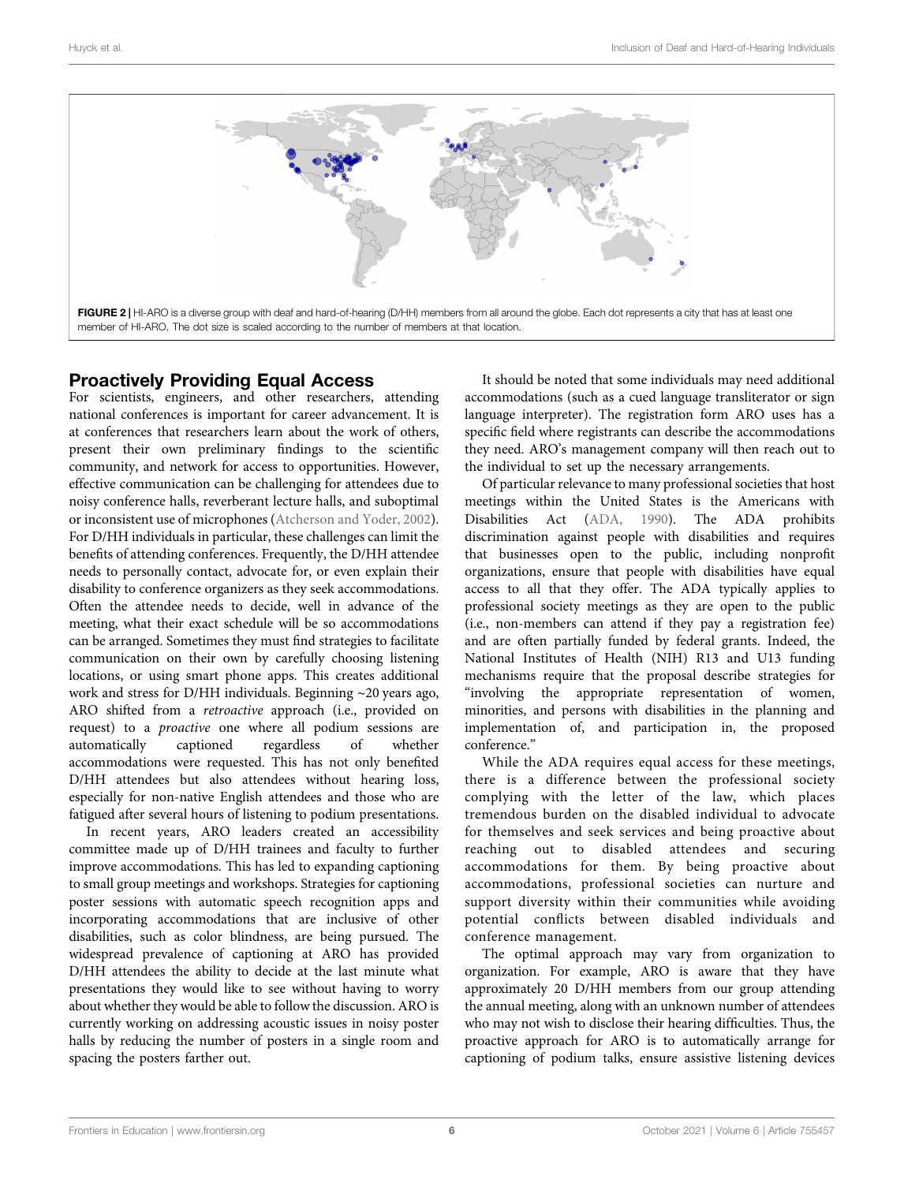

#### <span id="page-5-0"></span>Proactively Providing Equal Access

For scientists, engineers, and other researchers, attending national conferences is important for career advancement. It is at conferences that researchers learn about the work of others, present their own preliminary findings to the scientific community, and network for access to opportunities. However, effective communication can be challenging for attendees due to noisy conference halls, reverberant lecture halls, and suboptimal or inconsistent use of microphones [\(Atcherson and Yoder, 2002\)](#page-8-40). For D/HH individuals in particular, these challenges can limit the benefits of attending conferences. Frequently, the D/HH attendee needs to personally contact, advocate for, or even explain their disability to conference organizers as they seek accommodations. Often the attendee needs to decide, well in advance of the meeting, what their exact schedule will be so accommodations can be arranged. Sometimes they must find strategies to facilitate communication on their own by carefully choosing listening locations, or using smart phone apps. This creates additional work and stress for D/HH individuals. Beginning ∼20 years ago, ARO shifted from a retroactive approach (i.e., provided on request) to a proactive one where all podium sessions are automatically captioned regardless of whether accommodations were requested. This has not only benefited D/HH attendees but also attendees without hearing loss, especially for non-native English attendees and those who are fatigued after several hours of listening to podium presentations.

In recent years, ARO leaders created an accessibility committee made up of D/HH trainees and faculty to further improve accommodations. This has led to expanding captioning to small group meetings and workshops. Strategies for captioning poster sessions with automatic speech recognition apps and incorporating accommodations that are inclusive of other disabilities, such as color blindness, are being pursued. The widespread prevalence of captioning at ARO has provided D/HH attendees the ability to decide at the last minute what presentations they would like to see without having to worry about whether they would be able to follow the discussion. ARO is currently working on addressing acoustic issues in noisy poster halls by reducing the number of posters in a single room and spacing the posters farther out.

It should be noted that some individuals may need additional accommodations (such as a cued language transliterator or sign language interpreter). The registration form ARO uses has a specific field where registrants can describe the accommodations they need. ARO's management company will then reach out to the individual to set up the necessary arrangements.

Of particular relevance to many professional societies that host meetings within the United States is the Americans with Disabilities Act [\(ADA, 1990](#page-8-41)). The ADA prohibits discrimination against people with disabilities and requires that businesses open to the public, including nonprofit organizations, ensure that people with disabilities have equal access to all that they offer. The ADA typically applies to professional society meetings as they are open to the public (i.e., non-members can attend if they pay a registration fee) and are often partially funded by federal grants. Indeed, the National Institutes of Health (NIH) R13 and U13 funding mechanisms require that the proposal describe strategies for "involving the appropriate representation of women, minorities, and persons with disabilities in the planning and implementation of, and participation in, the proposed conference."

While the ADA requires equal access for these meetings, there is a difference between the professional society complying with the letter of the law, which places tremendous burden on the disabled individual to advocate for themselves and seek services and being proactive about reaching out to disabled attendees and securing accommodations for them. By being proactive about accommodations, professional societies can nurture and support diversity within their communities while avoiding potential conflicts between disabled individuals and conference management.

The optimal approach may vary from organization to organization. For example, ARO is aware that they have approximately 20 D/HH members from our group attending the annual meeting, along with an unknown number of attendees who may not wish to disclose their hearing difficulties. Thus, the proactive approach for ARO is to automatically arrange for captioning of podium talks, ensure assistive listening devices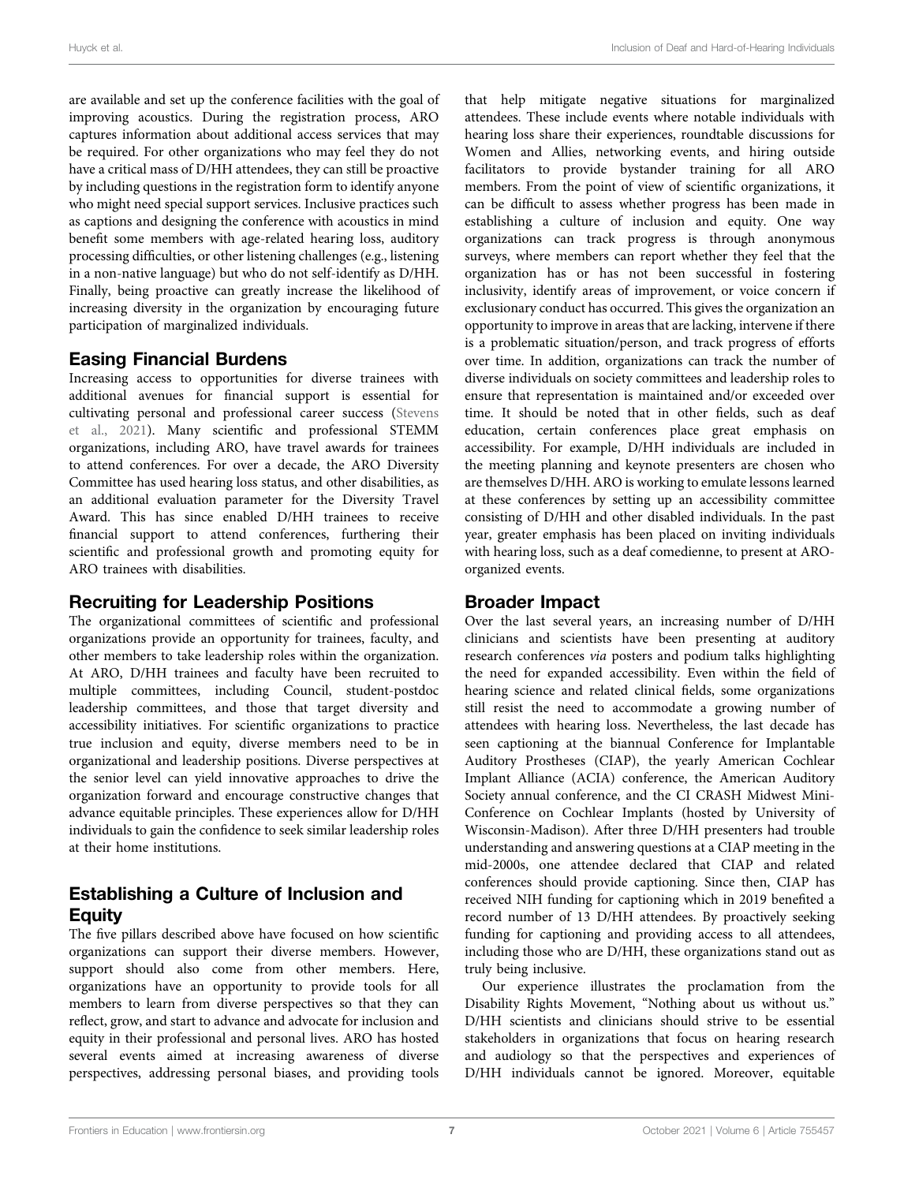are available and set up the conference facilities with the goal of improving acoustics. During the registration process, ARO captures information about additional access services that may be required. For other organizations who may feel they do not have a critical mass of D/HH attendees, they can still be proactive by including questions in the registration form to identify anyone who might need special support services. Inclusive practices such as captions and designing the conference with acoustics in mind benefit some members with age-related hearing loss, auditory processing difficulties, or other listening challenges (e.g., listening in a non-native language) but who do not self-identify as D/HH. Finally, being proactive can greatly increase the likelihood of increasing diversity in the organization by encouraging future participation of marginalized individuals.

### Easing Financial Burdens

Increasing access to opportunities for diverse trainees with additional avenues for financial support is essential for cultivating personal and professional career success [\(Stevens](#page-9-18) [et al., 2021\)](#page-9-18). Many scientific and professional STEMM organizations, including ARO, have travel awards for trainees to attend conferences. For over a decade, the ARO Diversity Committee has used hearing loss status, and other disabilities, as an additional evaluation parameter for the Diversity Travel Award. This has since enabled D/HH trainees to receive financial support to attend conferences, furthering their scientific and professional growth and promoting equity for ARO trainees with disabilities.

### Recruiting for Leadership Positions

The organizational committees of scientific and professional organizations provide an opportunity for trainees, faculty, and other members to take leadership roles within the organization. At ARO, D/HH trainees and faculty have been recruited to multiple committees, including Council, student-postdoc leadership committees, and those that target diversity and accessibility initiatives. For scientific organizations to practice true inclusion and equity, diverse members need to be in organizational and leadership positions. Diverse perspectives at the senior level can yield innovative approaches to drive the organization forward and encourage constructive changes that advance equitable principles. These experiences allow for D/HH individuals to gain the confidence to seek similar leadership roles at their home institutions.

## Establishing a Culture of Inclusion and **Equity**

The five pillars described above have focused on how scientific organizations can support their diverse members. However, support should also come from other members. Here, organizations have an opportunity to provide tools for all members to learn from diverse perspectives so that they can reflect, grow, and start to advance and advocate for inclusion and equity in their professional and personal lives. ARO has hosted several events aimed at increasing awareness of diverse perspectives, addressing personal biases, and providing tools

that help mitigate negative situations for marginalized attendees. These include events where notable individuals with hearing loss share their experiences, roundtable discussions for Women and Allies, networking events, and hiring outside facilitators to provide bystander training for all ARO members. From the point of view of scientific organizations, it can be difficult to assess whether progress has been made in establishing a culture of inclusion and equity. One way organizations can track progress is through anonymous surveys, where members can report whether they feel that the organization has or has not been successful in fostering inclusivity, identify areas of improvement, or voice concern if exclusionary conduct has occurred. This gives the organization an opportunity to improve in areas that are lacking, intervene if there is a problematic situation/person, and track progress of efforts over time. In addition, organizations can track the number of diverse individuals on society committees and leadership roles to ensure that representation is maintained and/or exceeded over time. It should be noted that in other fields, such as deaf education, certain conferences place great emphasis on accessibility. For example, D/HH individuals are included in the meeting planning and keynote presenters are chosen who are themselves D/HH. ARO is working to emulate lessons learned at these conferences by setting up an accessibility committee consisting of D/HH and other disabled individuals. In the past year, greater emphasis has been placed on inviting individuals with hearing loss, such as a deaf comedienne, to present at AROorganized events.

# Broader Impact

Over the last several years, an increasing number of D/HH clinicians and scientists have been presenting at auditory research conferences via posters and podium talks highlighting the need for expanded accessibility. Even within the field of hearing science and related clinical fields, some organizations still resist the need to accommodate a growing number of attendees with hearing loss. Nevertheless, the last decade has seen captioning at the biannual Conference for Implantable Auditory Prostheses (CIAP), the yearly American Cochlear Implant Alliance (ACIA) conference, the American Auditory Society annual conference, and the CI CRASH Midwest Mini-Conference on Cochlear Implants (hosted by University of Wisconsin-Madison). After three D/HH presenters had trouble understanding and answering questions at a CIAP meeting in the mid-2000s, one attendee declared that CIAP and related conferences should provide captioning. Since then, CIAP has received NIH funding for captioning which in 2019 benefited a record number of 13 D/HH attendees. By proactively seeking funding for captioning and providing access to all attendees, including those who are D/HH, these organizations stand out as truly being inclusive.

Our experience illustrates the proclamation from the Disability Rights Movement, "Nothing about us without us." D/HH scientists and clinicians should strive to be essential stakeholders in organizations that focus on hearing research and audiology so that the perspectives and experiences of D/HH individuals cannot be ignored. Moreover, equitable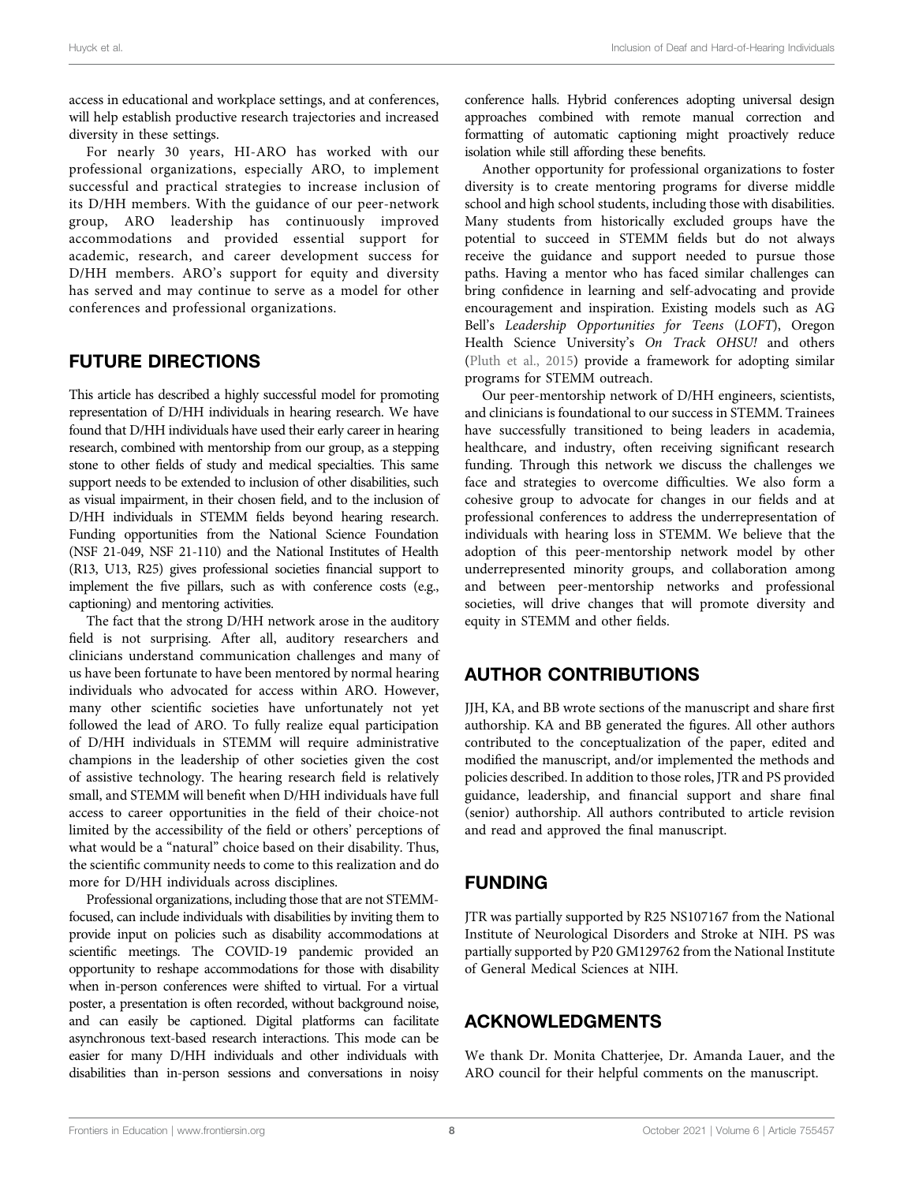access in educational and workplace settings, and at conferences, will help establish productive research trajectories and increased diversity in these settings.

For nearly 30 years, HI-ARO has worked with our professional organizations, especially ARO, to implement successful and practical strategies to increase inclusion of its D/HH members. With the guidance of our peer-network group, ARO leadership has continuously improved accommodations and provided essential support for academic, research, and career development success for D/HH members. ARO's support for equity and diversity has served and may continue to serve as a model for other conferences and professional organizations.

#### FUTURE DIRECTIONS

This article has described a highly successful model for promoting representation of D/HH individuals in hearing research. We have found that D/HH individuals have used their early career in hearing research, combined with mentorship from our group, as a stepping stone to other fields of study and medical specialties. This same support needs to be extended to inclusion of other disabilities, such as visual impairment, in their chosen field, and to the inclusion of D/HH individuals in STEMM fields beyond hearing research. Funding opportunities from the National Science Foundation (NSF 21-049, NSF 21-110) and the National Institutes of Health (R13, U13, R25) gives professional societies financial support to implement the five pillars, such as with conference costs (e.g., captioning) and mentoring activities.

The fact that the strong D/HH network arose in the auditory field is not surprising. After all, auditory researchers and clinicians understand communication challenges and many of us have been fortunate to have been mentored by normal hearing individuals who advocated for access within ARO. However, many other scientific societies have unfortunately not yet followed the lead of ARO. To fully realize equal participation of D/HH individuals in STEMM will require administrative champions in the leadership of other societies given the cost of assistive technology. The hearing research field is relatively small, and STEMM will benefit when D/HH individuals have full access to career opportunities in the field of their choice-not limited by the accessibility of the field or others' perceptions of what would be a "natural" choice based on their disability. Thus, the scientific community needs to come to this realization and do more for D/HH individuals across disciplines.

Professional organizations, including those that are not STEMMfocused, can include individuals with disabilities by inviting them to provide input on policies such as disability accommodations at scientific meetings. The COVID-19 pandemic provided an opportunity to reshape accommodations for those with disability when in-person conferences were shifted to virtual. For a virtual poster, a presentation is often recorded, without background noise, and can easily be captioned. Digital platforms can facilitate asynchronous text-based research interactions. This mode can be easier for many D/HH individuals and other individuals with disabilities than in-person sessions and conversations in noisy conference halls. Hybrid conferences adopting universal design approaches combined with remote manual correction and formatting of automatic captioning might proactively reduce isolation while still affording these benefits.

Another opportunity for professional organizations to foster diversity is to create mentoring programs for diverse middle school and high school students, including those with disabilities. Many students from historically excluded groups have the potential to succeed in STEMM fields but do not always receive the guidance and support needed to pursue those paths. Having a mentor who has faced similar challenges can bring confidence in learning and self-advocating and provide encouragement and inspiration. Existing models such as AG Bell's Leadership Opportunities for Teens (LOFT), Oregon Health Science University's On Track OHSU! and others [\(Pluth et al., 2015\)](#page-9-19) provide a framework for adopting similar programs for STEMM outreach.

Our peer-mentorship network of D/HH engineers, scientists, and clinicians is foundational to our success in STEMM. Trainees have successfully transitioned to being leaders in academia, healthcare, and industry, often receiving significant research funding. Through this network we discuss the challenges we face and strategies to overcome difficulties. We also form a cohesive group to advocate for changes in our fields and at professional conferences to address the underrepresentation of individuals with hearing loss in STEMM. We believe that the adoption of this peer-mentorship network model by other underrepresented minority groups, and collaboration among and between peer-mentorship networks and professional societies, will drive changes that will promote diversity and equity in STEMM and other fields.

### AUTHOR CONTRIBUTIONS

JJH, KA, and BB wrote sections of the manuscript and share first authorship. KA and BB generated the figures. All other authors contributed to the conceptualization of the paper, edited and modified the manuscript, and/or implemented the methods and policies described. In addition to those roles, JTR and PS provided guidance, leadership, and financial support and share final (senior) authorship. All authors contributed to article revision and read and approved the final manuscript.

### FUNDING

JTR was partially supported by R25 NS107167 from the National Institute of Neurological Disorders and Stroke at NIH. PS was partially supported by P20 GM129762 from the National Institute of General Medical Sciences at NIH.

### ACKNOWLEDGMENTS

We thank Dr. Monita Chatterjee, Dr. Amanda Lauer, and the ARO council for their helpful comments on the manuscript.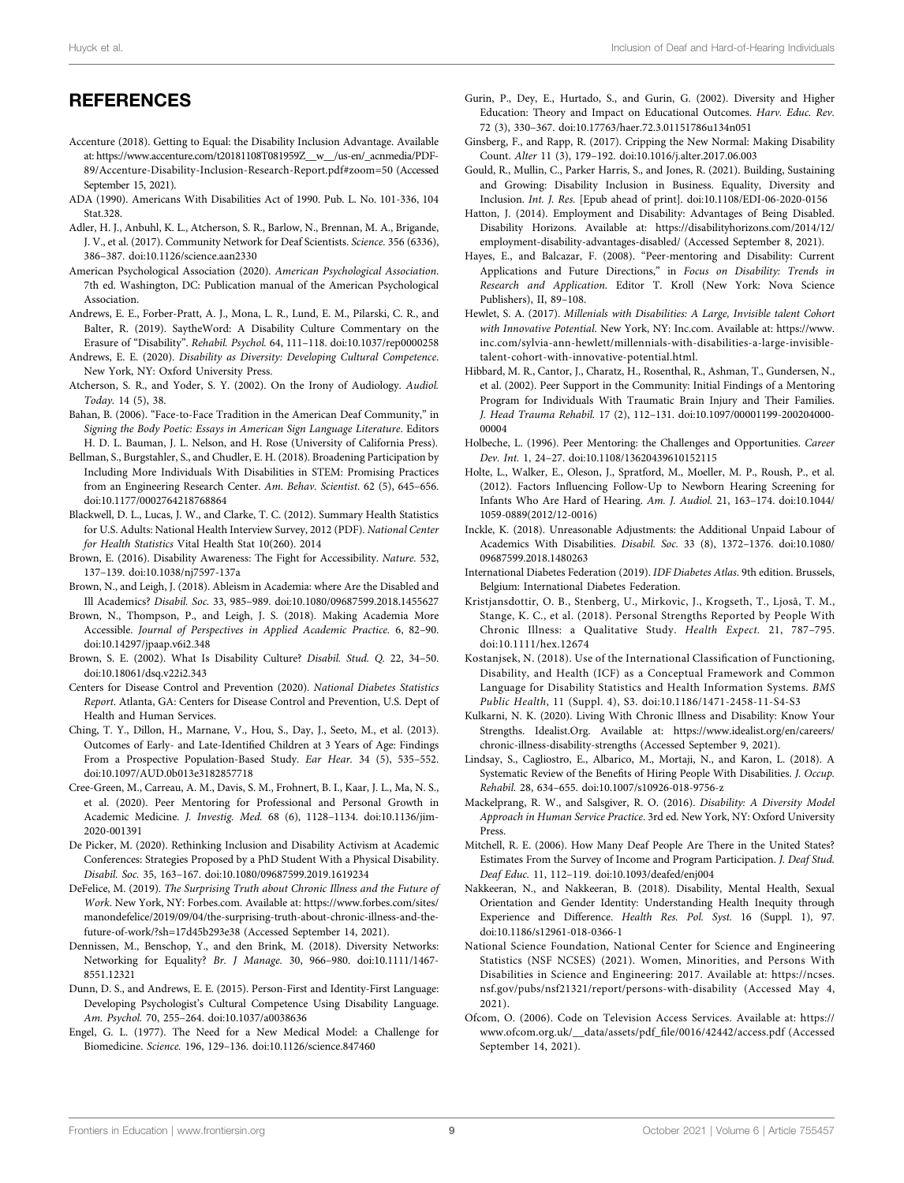#### **REFERENCES**

- <span id="page-8-6"></span>Accenture (2018). Getting to Equal: the Disability Inclusion Advantage. Available at: [https://www.accenture.com/t20181108T081959Z\\_\\_w\\_\\_/us-en/\\_acnmedia/PDF-](https://www.accenture.com/t20181108T081959Z__w__/us-en/_acnmedia/PDF-89/Accenture-Disability-Inclusion-Research-Report.pdf#zoom=50)[89/Accenture-Disability-Inclusion-Research-Report.pdf#zoom](https://www.accenture.com/t20181108T081959Z__w__/us-en/_acnmedia/PDF-89/Accenture-Disability-Inclusion-Research-Report.pdf#zoom=50)=[50](https://www.accenture.com/t20181108T081959Z__w__/us-en/_acnmedia/PDF-89/Accenture-Disability-Inclusion-Research-Report.pdf#zoom=50) (Accessed September 15, 2021).
- <span id="page-8-41"></span>ADA (1990). Americans With Disabilities Act of 1990. Pub. L. No. 101-336, 104 Stat.328.
- <span id="page-8-16"></span>Adler, H. J., Anbuhl, K. L., Atcherson, S. R., Barlow, N., Brennan, M. A., Brigande, J. V., et al. (2017). Community Network for Deaf Scientists. Science. 356 (6336), 386–387. doi:[10.1126/science.aan2330](https://doi.org/10.1126/science.aan2330)
- <span id="page-8-25"></span>American Psychological Association (2020). American Psychological Association. 7th ed. Washington, DC: Publication manual of the American Psychological Association.
- <span id="page-8-23"></span>Andrews, E. E., Forber-Pratt, A. J., Mona, L. R., Lund, E. M., Pilarski, C. R., and Balter, R. (2019). SaytheWord: A Disability Culture Commentary on the Erasure of "Disability". Rehabil. Psychol. 64, 111–118. doi:[10.1037/rep0000258](https://doi.org/10.1037/rep0000258)
- <span id="page-8-18"></span>Andrews, E. E. (2020). Disability as Diversity: Developing Cultural Competence. New York, NY: Oxford University Press.
- <span id="page-8-40"></span>Atcherson, S. R., and Yoder, S. Y. (2002). On the Irony of Audiology. Audiol. Today. 14 (5), 38.
- <span id="page-8-22"></span>Bahan, B. (2006). "Face-to-Face Tradition in the American Deaf Community," in Signing the Body Poetic: Essays in American Sign Language Literature. Editors H. D. L. Bauman, J. L. Nelson, and H. Rose (University of California Press).
- <span id="page-8-3"></span>Bellman, S., Burgstahler, S., and Chudler, E. H. (2018). Broadening Participation by Including More Individuals With Disabilities in STEM: Promising Practices from an Engineering Research Center. Am. Behav. Scientist. 62 (5), 645–656. doi:[10.1177/0002764218768864](https://doi.org/10.1177/0002764218768864)
- <span id="page-8-30"></span>Blackwell, D. L., Lucas, J. W., and Clarke, T. C. (2012). Summary Health Statistics for U.S. Adults: National Health Interview Survey, 2012 (PDF). National Center for Health Statistics Vital Health Stat 10(260). 2014
- <span id="page-8-11"></span>Brown, E. (2016). Disability Awareness: The Fight for Accessibility. Nature. 532, 137–139. doi:[10.1038/nj7597-137a](https://doi.org/10.1038/nj7597-137a)
- <span id="page-8-13"></span>Brown, N., and Leigh, J. (2018). Ableism in Academia: where Are the Disabled and Ill Academics? Disabil. Soc. 33, 985–989. doi[:10.1080/09687599.2018.1455627](https://doi.org/10.1080/09687599.2018.1455627)
- <span id="page-8-12"></span>Brown, N., Thompson, P., and Leigh, J. S. (2018). Making Academia More Accessible. Journal of Perspectives in Applied Academic Practice. 6, 82–90. doi:[10.14297/jpaap.v6i2.348](https://doi.org/10.14297/jpaap.v6i2.348)
- <span id="page-8-21"></span>Brown, S. E. (2002). What Is Disability Culture? Disabil. Stud. Q. 22, 34–50. doi:[10.18061/dsq.v22i2.343](https://doi.org/10.18061/dsq.v22i2.343)
- <span id="page-8-31"></span>Centers for Disease Control and Prevention (2020). National Diabetes Statistics Report. Atlanta, GA: Centers for Disease Control and Prevention, U.S. Dept of Health and Human Services.
- <span id="page-8-34"></span>Ching, T. Y., Dillon, H., Marnane, V., Hou, S., Day, J., Seeto, M., et al. (2013). Outcomes of Early- and Late-Identified Children at 3 Years of Age: Findings From a Prospective Population-Based Study. Ear Hear. 34 (5), 535–552. doi:[10.1097/AUD.0b013e3182857718](https://doi.org/10.1097/AUD.0b013e3182857718)
- <span id="page-8-37"></span>Cree-Green, M., Carreau, A. M., Davis, S. M., Frohnert, B. I., Kaar, J. L., Ma, N. S., et al. (2020). Peer Mentoring for Professional and Personal Growth in Academic Medicine. J. Investig. Med. 68 (6), 1128–1134. doi[:10.1136/jim-](https://doi.org/10.1136/jim-2020-001391)[2020-001391](https://doi.org/10.1136/jim-2020-001391)
- <span id="page-8-15"></span>De Picker, M. (2020). Rethinking Inclusion and Disability Activism at Academic Conferences: Strategies Proposed by a PhD Student With a Physical Disability. Disabil. Soc. 35, 163–167. doi[:10.1080/09687599.2019.1619234](https://doi.org/10.1080/09687599.2019.1619234)
- <span id="page-8-8"></span>DeFelice, M. (2019). The Surprising Truth about Chronic Illness and the Future of Work. New York, NY: Forbes.com. Available at: [https://www.forbes.com/sites/](https://www.forbes.com/sites/manondefelice/2019/09/04/the-surprising-truth-about-chronic-illness-and-the-future-of-work/?sh=17d45b293e38) [manondefelice/2019/09/04/the-surprising-truth-about-chronic-illness-and-the](https://www.forbes.com/sites/manondefelice/2019/09/04/the-surprising-truth-about-chronic-illness-and-the-future-of-work/?sh=17d45b293e38)[future-of-work/?sh](https://www.forbes.com/sites/manondefelice/2019/09/04/the-surprising-truth-about-chronic-illness-and-the-future-of-work/?sh=17d45b293e38)=[17d45b293e38](https://www.forbes.com/sites/manondefelice/2019/09/04/the-surprising-truth-about-chronic-illness-and-the-future-of-work/?sh=17d45b293e38) (Accessed September 14, 2021).
- <span id="page-8-1"></span>Dennissen, M., Benschop, Y., and den Brink, M. (2018). Diversity Networks: Networking for Equality? Br. J Manage. 30, 966–980. doi:[10.1111/1467-](https://doi.org/10.1111/1467-8551.12321) [8551.12321](https://doi.org/10.1111/1467-8551.12321)
- <span id="page-8-17"></span>Dunn, D. S., and Andrews, E. E. (2015). Person-First and Identity-First Language: Developing Psychologist's Cultural Competence Using Disability Language. Am. Psychol. 70, 255–264. doi[:10.1037/a0038636](https://doi.org/10.1037/a0038636)
- <span id="page-8-26"></span>Engel, G. L. (1977). The Need for a New Medical Model: a Challenge for Biomedicine. Science. 196, 129–136. doi[:10.1126/science.847460](https://doi.org/10.1126/science.847460)
- <span id="page-8-35"></span>Gurin, P., Dey, E., Hurtado, S., and Gurin, G. (2002). Diversity and Higher Education: Theory and Impact on Educational Outcomes. Harv. Educ. Rev. 72 (3), 330–367. doi[:10.17763/haer.72.3.01151786u134n051](https://doi.org/10.17763/haer.72.3.01151786u134n051)
- <span id="page-8-24"></span>Ginsberg, F., and Rapp, R. (2017). Cripping the New Normal: Making Disability Count. Alter 11 (3), 179–192. doi[:10.1016/j.alter.2017.06.003](https://doi.org/10.1016/j.alter.2017.06.003)
- <span id="page-8-2"></span>Gould, R., Mullin, C., Parker Harris, S., and Jones, R. (2021). Building, Sustaining and Growing: Disability Inclusion in Business. Equality, Diversity and Inclusion. Int. J. Res. [Epub ahead of print]. doi:[10.1108/EDI-06-2020-0156](https://doi.org/10.1108/EDI-06-2020-0156)
- <span id="page-8-10"></span>Hatton, J. (2014). Employment and Disability: Advantages of Being Disabled. Disability Horizons. Available at: [https://disabilityhorizons.com/2014/12/](https://disabilityhorizons.com/2014/12/employment-disability-advantages-disabled/) [employment-disability-advantages-disabled/](https://disabilityhorizons.com/2014/12/employment-disability-advantages-disabled/) (Accessed September 8, 2021).
- <span id="page-8-39"></span>Hayes, E., and Balcazar, F. (2008). "Peer-mentoring and Disability: Current Applications and Future Directions," in Focus on Disability: Trends in Research and Application. Editor T. Kroll (New York: Nova Science Publishers), II, 89–108.
- <span id="page-8-5"></span>Hewlet, S. A. (2017). Millenials with Disabilities: A Large, Invisible talent Cohort with Innovative Potential. New York, NY: Inc.com. Available at: [https://www.](https://www.inc.com/sylvia-ann-hewlett/millennials-with-disabilities-a-large-invisible-talent-cohort-with-innovative-potential.html) [inc.com/sylvia-ann-hewlett/millennials-with-disabilities-a-large-invisible](https://www.inc.com/sylvia-ann-hewlett/millennials-with-disabilities-a-large-invisible-talent-cohort-with-innovative-potential.html)[talent-cohort-with-innovative-potential.html](https://www.inc.com/sylvia-ann-hewlett/millennials-with-disabilities-a-large-invisible-talent-cohort-with-innovative-potential.html).
- <span id="page-8-38"></span>Hibbard, M. R., Cantor, J., Charatz, H., Rosenthal, R., Ashman, T., Gundersen, N., et al. (2002). Peer Support in the Community: Initial Findings of a Mentoring Program for Individuals With Traumatic Brain Injury and Their Families. J. Head Trauma Rehabil. 17 (2), 112–131. doi[:10.1097/00001199-200204000-](https://doi.org/10.1097/00001199-200204000-00004) [00004](https://doi.org/10.1097/00001199-200204000-00004)
- <span id="page-8-36"></span>Holbeche, L. (1996). Peer Mentoring: the Challenges and Opportunities. Career Dev. Int. 1, 24–27. doi:[10.1108/13620439610152115](https://doi.org/10.1108/13620439610152115)
- <span id="page-8-33"></span>Holte, L., Walker, E., Oleson, J., Spratford, M., Moeller, M. P., Roush, P., et al. (2012). Factors Influencing Follow-Up to Newborn Hearing Screening for Infants Who Are Hard of Hearing. Am. J. Audiol. 21, 163–174. doi[:10.1044/](https://doi.org/10.1044/1059-0889(2012/12-0016)) [1059-0889\(2012/12-0016\)](https://doi.org/10.1044/1059-0889(2012/12-0016))
- <span id="page-8-14"></span>Inckle, K. (2018). Unreasonable Adjustments: the Additional Unpaid Labour of Academics With Disabilities. Disabil. Soc. 33 (8), 1372–1376. doi[:10.1080/](https://doi.org/10.1080/09687599.2018.1480263) [09687599.2018.1480263](https://doi.org/10.1080/09687599.2018.1480263)
- <span id="page-8-32"></span>International Diabetes Federation (2019). IDF Diabetes Atlas. 9th edition. Brussels, Belgium: International Diabetes Federation.
- <span id="page-8-7"></span>Kristjansdottir, O. B., Stenberg, U., Mirkovic, J., Krogseth, T., Ljoså, T. M., Stange, K. C., et al. (2018). Personal Strengths Reported by People With Chronic Illness: a Qualitative Study. Health Expect. 21, 787–795. doi[:10.1111/hex.12674](https://doi.org/10.1111/hex.12674)
- <span id="page-8-27"></span>Kostanjsek, N. (2018). Use of the International Classification of Functioning, Disability, and Health (ICF) as a Conceptual Framework and Common Language for Disability Statistics and Health Information Systems. BMS Public Health, 11 (Suppl. 4), S3. doi:[10.1186/1471-2458-11-S4-S3](https://doi.org/10.1186/1471-2458-11-S4-S3)
- <span id="page-8-9"></span>Kulkarni, N. K. (2020). Living With Chronic Illness and Disability: Know Your Strengths. Idealist.Org. Available at: [https://www.idealist.org/en/careers/](https://www.idealist.org/en/careers/chronic-illness-disability-strengths) [chronic-illness-disability-strengths](https://www.idealist.org/en/careers/chronic-illness-disability-strengths) (Accessed September 9, 2021).
- <span id="page-8-0"></span>Lindsay, S., Cagliostro, E., Albarico, M., Mortaji, N., and Karon, L. (2018). A Systematic Review of the Benefits of Hiring People With Disabilities. J. Occup. Rehabil. 28, 634–655. doi:[10.1007/s10926-018-9756-z](https://doi.org/10.1007/s10926-018-9756-z)
- <span id="page-8-20"></span>Mackelprang, R. W., and Salsgiver, R. O. (2016). Disability: A Diversity Model Approach in Human Service Practice. 3rd ed. New York, NY: Oxford University Press.
- <span id="page-8-29"></span>Mitchell, R. E. (2006). How Many Deaf People Are There in the United States? Estimates From the Survey of Income and Program Participation. J. Deaf Stud. Deaf Educ. 11, 112–119. doi[:10.1093/deafed/enj004](https://doi.org/10.1093/deafed/enj004)
- <span id="page-8-28"></span>Nakkeeran, N., and Nakkeeran, B. (2018). Disability, Mental Health, Sexual Orientation and Gender Identity: Understanding Health Inequity through Experience and Difference. Health Res. Pol. Syst. 16 (Suppl. 1), 97. doi[:10.1186/s12961-018-0366-1](https://doi.org/10.1186/s12961-018-0366-1)
- <span id="page-8-4"></span>National Science Foundation, National Center for Science and Engineering Statistics (NSF NCSES) (2021). Women, Minorities, and Persons With Disabilities in Science and Engineering: 2017. Available at: [https://ncses.](https://ncses.nsf.gov/pubs/nsf21321/report/persons-with-disability) [nsf.gov/pubs/nsf21321/report/persons-with-disability](https://ncses.nsf.gov/pubs/nsf21321/report/persons-with-disability) (Accessed May 4, 2021).
- <span id="page-8-19"></span>Ofcom, O. (2006). Code on Television Access Services. Available at: [https://](https://www.ofcom.org.uk/__data/assets/pdf_file/0016/42442/access.pdf) [www.ofcom.org.uk/\\_\\_data/assets/pdf\\_](https://www.ofcom.org.uk/__data/assets/pdf_file/0016/42442/access.pdf)file/0016/42442/access.pdf (Accessed September 14, 2021).